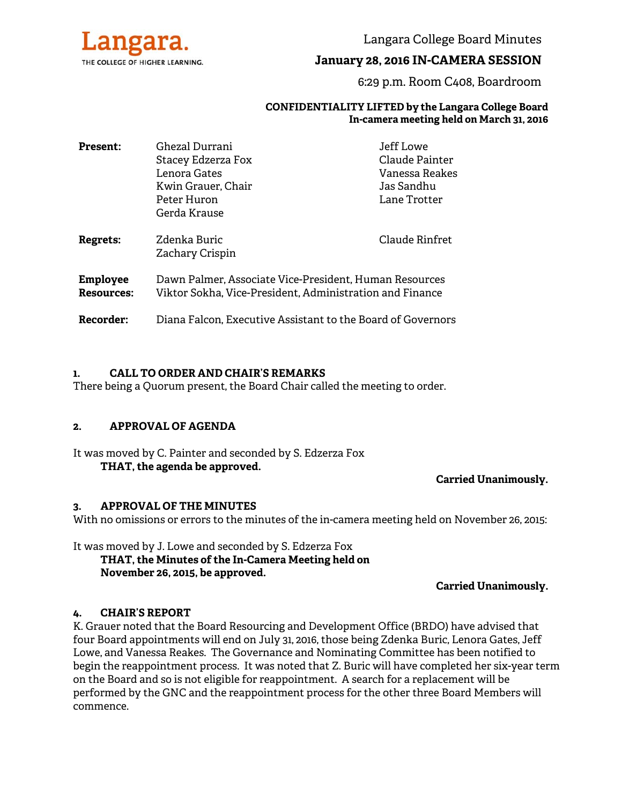

Langara College Board Minutes

# **January 28, 2016 IN-CAMERA SESSION**

6:29 p.m. Room C408, Boardroom

#### **CONFIDENTIALITY LIFTED by the Langara College Board In-camera meeting held on March 31, 2016**

| <b>Present:</b>                      | Ghezal Durrani<br>Stacey Edzerza Fox<br>Lenora Gates<br>Kwin Grauer, Chair<br>Peter Huron                          | Jeff Lowe<br>Claude Painter<br>Vanessa Reakes<br>Jas Sandhu<br>Lane Trotter |
|--------------------------------------|--------------------------------------------------------------------------------------------------------------------|-----------------------------------------------------------------------------|
| <b>Regrets:</b>                      | Gerda Krause<br>Zdenka Buric<br>Zachary Crispin                                                                    | Claude Rinfret                                                              |
| <b>Employee</b><br><b>Resources:</b> | Dawn Palmer, Associate Vice-President, Human Resources<br>Viktor Sokha, Vice-President, Administration and Finance |                                                                             |
| Recorder:                            | Diana Falcon, Executive Assistant to the Board of Governors                                                        |                                                                             |

### **1. CALL TO ORDER AND CHAIR'S REMARKS**

There being a Quorum present, the Board Chair called the meeting to order.

### **2. APPROVAL OF AGENDA**

It was moved by C. Painter and seconded by S. Edzerza Fox **THAT, the agenda be approved.** 

**Carried Unanimously.**

### **3. APPROVAL OF THE MINUTES**

With no omissions or errors to the minutes of the in-camera meeting held on November 26, 2015:

It was moved by J. Lowe and seconded by S. Edzerza Fox  **THAT, the Minutes of the In-Camera Meeting held on November 26, 2015, be approved.** 

**Carried Unanimously.** 

### **4. CHAIR'S REPORT**

K. Grauer noted that the Board Resourcing and Development Office (BRDO) have advised that four Board appointments will end on July 31, 2016, those being Zdenka Buric, Lenora Gates, Jeff Lowe, and Vanessa Reakes. The Governance and Nominating Committee has been notified to begin the reappointment process. It was noted that Z. Buric will have completed her six-year term on the Board and so is not eligible for reappointment. A search for a replacement will be performed by the GNC and the reappointment process for the other three Board Members will commence.